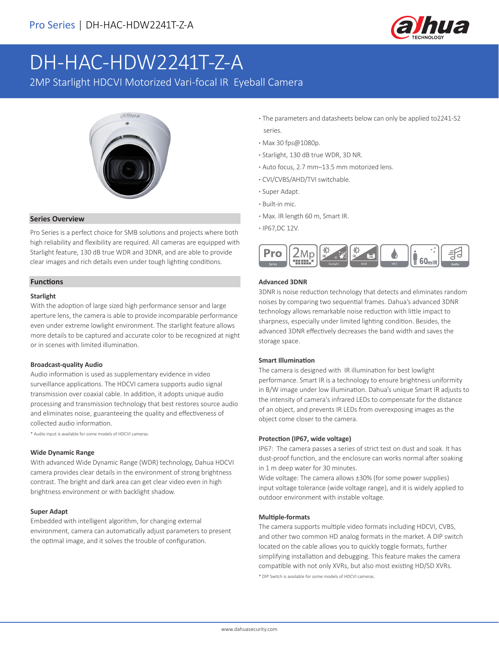

# DH-HAC-HDW2241T-Z-A

2MP Starlight HDCVI Motorized Vari-focal IR Eyeball Camera



#### **Series Overview**

Pro Series is a perfect choice for SMB solutions and projects where both high reliability and flexibility are required. All cameras are equipped with Starlight feature, 130 dB true WDR and 3DNR, and are able to provide clear images and rich details even under tough lighting conditions.

#### **Functions**

#### **Starlight**

With the adoption of large sized high performance sensor and large aperture lens, the camera is able to provide incomparable performance even under extreme lowlight environment. The starlight feature allows more details to be captured and accurate color to be recognized at night or in scenes with limited illumination.

#### **Broadcast-quality Audio**

Audio information is used as supplementary evidence in video surveillance applications. The HDCVI camera supports audio signal transmission over coaxial cable. In addition, it adopts unique audio processing and transmission technology that best restores source audio and eliminates noise, guaranteeing the quality and effectiveness of collected audio information.

\* Audio input is available for some models of HDCVI cameras.

#### **Wide Dynamic Range**

With advanced Wide Dynamic Range (WDR) technology, Dahua HDCVI camera provides clear details in the environment of strong brightness contrast. The bright and dark area can get clear video even in high brightness environment or with backlight shadow.

### **Super Adapt**

Embedded with intelligent algorithm, for changing external environment, camera can automatically adjust parameters to present the optimal image, and it solves the trouble of configuration.

- **·** The parameters and datasheets below can only be applied to2241-S2 series.
- **·** Max 30 fps@1080p.
- **·** Starlight, 130 dB true WDR, 3D NR.
- **·** Auto focus, 2.7 mm–13.5 mm motorized lens.
- **·** CVI/CVBS/AHD/TVI switchable.
- **·** Super Adapt.
- **·** Built-in mic.
- **·** Max. IR length 60 m, Smart IR.
- **·** IP67,DC 12V.



#### **Advanced 3DNR**

3DNR is noise reduction technology that detects and eliminates random noises by comparing two sequential frames. Dahua's advanced 3DNR technology allows remarkable noise reduction with little impact to sharpness, especially under limited lighting condition. Besides, the advanced 3DNR effectively decreases the band width and saves the storage space.

#### **Smart Illumination**

The camera is designed with IR illumination for best lowlight performance. Smart IR is a technology to ensure brightness uniformity in B/W image under low illumination. Dahua's unique Smart IR adjusts to the intensity of camera's infrared LEDs to compensate for the distance of an object, and prevents IR LEDs from overexposing images as the object come closer to the camera.

#### **Protection (IP67, wide voltage)**

IP67: The camera passes a series of strict test on dust and soak. It has dust-proof function, and the enclosure can works normal after soaking in 1 m deep water for 30 minutes.

Wide voltage: The camera allows ±30% (for some power supplies) input voltage tolerance (wide voltage range), and it is widely applied to outdoor environment with instable voltage.

#### **Multiple-formats**

The camera supports multiple video formats including HDCVI, CVBS, and other two common HD analog formats in the market. A DIP switch located on the cable allows you to quickly toggle formats, further simplifying installation and debugging. This feature makes the camera compatible with not only XVRs, but also most existing HD/SD XVRs. \* DIP Switch is available for some models of HDCVI cameras.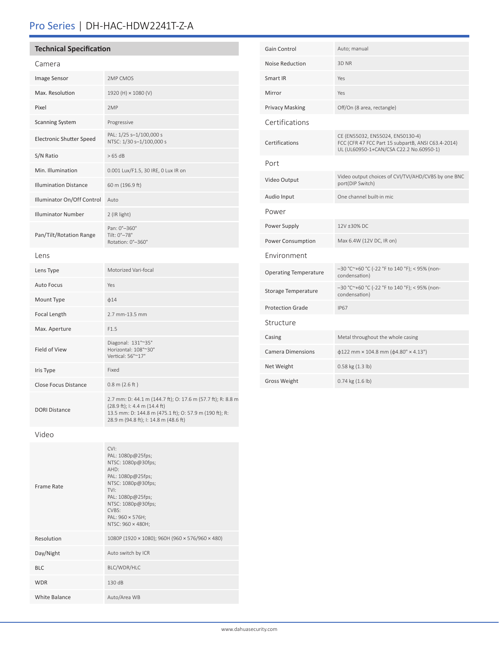# Pro Series | DH-HAC-HDW2241T-Z-A

| <b>Technical Specification</b>  |                                                                 | Gain Control                 | Auto; manual                                                                                                                      |
|---------------------------------|-----------------------------------------------------------------|------------------------------|-----------------------------------------------------------------------------------------------------------------------------------|
| Camera                          |                                                                 | Noise Reduction              | 3D NR                                                                                                                             |
| Image Sensor                    | 2MP CMOS                                                        | Smart IR                     | Yes                                                                                                                               |
| Max. Resolution                 | 1920 (H) × 1080 (V)                                             | Mirror                       | Yes                                                                                                                               |
| Pixel                           | 2MP                                                             | <b>Privacy Masking</b>       | Off/On (8 area, rectangle)                                                                                                        |
| <b>Scanning System</b>          | Progressive                                                     | Certifications               |                                                                                                                                   |
| <b>Electronic Shutter Speed</b> | PAL: 1/25 s-1/100,000 s<br>NTSC: 1/30 s-1/100,000 s             | Certifications               | CE (EN55032, EN55024, EN50130-4)<br>FCC (CFR 47 FCC Part 15 subpartB, ANSI C63.4-2014)<br>UL (UL60950-1+CAN/CSA C22.2 No.60950-1) |
| S/N Ratio                       | >65 dB                                                          | Port                         |                                                                                                                                   |
| Min. Illumination               | 0.001 Lux/F1.5, 30 IRE, 0 Lux IR on                             |                              |                                                                                                                                   |
| <b>Illumination Distance</b>    | 60 m (196.9 ft)                                                 | Video Output                 | Video output choices of CVI/TVI/AHD/CVBS by one BNC<br>port(DIP Switch)                                                           |
| Illuminator On/Off Control      | Auto                                                            | Audio Input                  | One channel built-in mic                                                                                                          |
| <b>Illuminator Number</b>       | 2 (IR light)                                                    | Power                        |                                                                                                                                   |
| Pan/Tilt/Rotation Range         | Pan: 0°-360°<br>Tilt: 0°-78°<br>Rotation: 0°-360°               | Power Supply                 | 12V ±30% DC                                                                                                                       |
|                                 |                                                                 | Power Consumption            | Max 6.4W (12V DC, IR on)                                                                                                          |
| Lens                            |                                                                 | Environment                  |                                                                                                                                   |
| Lens Type                       | Motorized Vari-focal                                            | <b>Operating Temperature</b> | -30 °C~+60 °C (-22 °F to 140 °F); < 95% (non-<br>condensation)                                                                    |
| <b>Auto Focus</b>               | Yes                                                             | Storage Temperature          | -30 °C~+60 °C (-22 °F to 140 °F); < 95% (non-                                                                                     |
| Mount Type                      | $\phi$ 14                                                       |                              | condensation)                                                                                                                     |
| Focal Length                    | 2.7 mm-13.5 mm                                                  | <b>Protection Grade</b>      | <b>IP67</b>                                                                                                                       |
| Max. Aperture                   | F1.5                                                            | Structure                    |                                                                                                                                   |
| Field of View                   | Diagonal: 131°~35°<br>Horizontal: 108°~30°<br>Vertical: 56°~17° | Casing                       | Metal throughout the whole casing                                                                                                 |
|                                 |                                                                 | <b>Camera Dimensions</b>     | $\phi$ 122 mm × 104.8 mm ( $\phi$ 4.80" × 4.13")                                                                                  |
| Iris Type                       | Fixed                                                           | Net Weight                   | 0.58 kg (1.3 lb)                                                                                                                  |
| Close Focus Distance            | $0.8$ m (2.6 ft)                                                | <b>Gross Weight</b>          | $0.74$ kg $(1.6$ lb)                                                                                                              |
|                                 | 2.7 mm: D: 44.1 m (144.7 ft); O: 17.6 m (57.7 ft); R: 8.8 m     |                              |                                                                                                                                   |

Video

DORI Distance

| Frame Rate    | CVI<br>PAL: 1080p@25fps;<br>NTSC: 1080p@30fps;<br>AHD:<br>PAL: 1080p@25fps;<br>NTSC: 1080p@30fps;<br>TVI:<br>PAL: 1080p@25fps;<br>NTSC: 1080p@30fps;<br>CVBS:<br>PAL: 960 × 576H;<br>NTSC: 960 × 480H; |
|---------------|--------------------------------------------------------------------------------------------------------------------------------------------------------------------------------------------------------|
| Resolution    | 1080P (1920 × 1080); 960H (960 × 576/960 × 480)                                                                                                                                                        |
| Day/Night     | Auto switch by ICR                                                                                                                                                                                     |
| <b>BLC</b>    | BLC/WDR/HLC                                                                                                                                                                                            |
| <b>WDR</b>    | 130 dB                                                                                                                                                                                                 |
| White Balance | Auto/Area WB                                                                                                                                                                                           |
|               |                                                                                                                                                                                                        |

(28.9 ft); I: 4.4 m (14.4 ft)

28.9 m (94.8 ft); I: 14.8 m (48.6 ft)

13.5 mm: D: 144.8 m (475.1 ft); O: 57.9 m (190 ft); R: